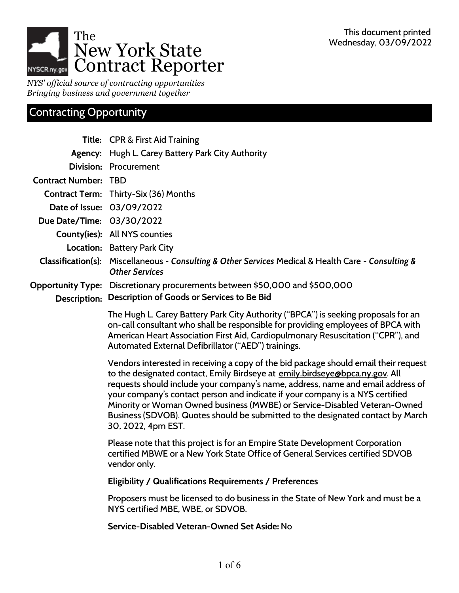

*NYS' official source of contracting opportunities Bringing business and government together*

## Contracting Opportunity

|                           | Title: CPR & First Aid Training                                                                                                                                                                                                                                                                                                                                                                                                                                                                                                 |
|---------------------------|---------------------------------------------------------------------------------------------------------------------------------------------------------------------------------------------------------------------------------------------------------------------------------------------------------------------------------------------------------------------------------------------------------------------------------------------------------------------------------------------------------------------------------|
|                           | Agency: Hugh L. Carey Battery Park City Authority                                                                                                                                                                                                                                                                                                                                                                                                                                                                               |
|                           | Division: Procurement                                                                                                                                                                                                                                                                                                                                                                                                                                                                                                           |
| <b>Contract Number:</b>   | <b>TBD</b>                                                                                                                                                                                                                                                                                                                                                                                                                                                                                                                      |
|                           | <b>Contract Term:</b> Thirty-Six (36) Months                                                                                                                                                                                                                                                                                                                                                                                                                                                                                    |
|                           | Date of Issue: 03/09/2022                                                                                                                                                                                                                                                                                                                                                                                                                                                                                                       |
| Due Date/Time: 03/30/2022 |                                                                                                                                                                                                                                                                                                                                                                                                                                                                                                                                 |
|                           | County(ies): All NYS counties                                                                                                                                                                                                                                                                                                                                                                                                                                                                                                   |
|                           | Location: Battery Park City                                                                                                                                                                                                                                                                                                                                                                                                                                                                                                     |
|                           | Classification(s): Miscellaneous - Consulting & Other Services Medical & Health Care - Consulting &<br><b>Other Services</b>                                                                                                                                                                                                                                                                                                                                                                                                    |
| Description:              | Opportunity Type: Discretionary procurements between \$50,000 and \$500,000<br>Description of Goods or Services to Be Bid                                                                                                                                                                                                                                                                                                                                                                                                       |
|                           | The Hugh L. Carey Battery Park City Authority ("BPCA") is seeking proposals for an<br>on-call consultant who shall be responsible for providing employees of BPCA with<br>American Heart Association First Aid, Cardiopulmonary Resuscitation ("CPR"), and<br>Automated External Defibrillator ("AED") trainings.                                                                                                                                                                                                               |
|                           | Vendors interested in receiving a copy of the bid package should email their request<br>to the designated contact, Emily Birdseye at emily birdseye @bpca.ny.gov. All<br>requests should include your company's name, address, name and email address of<br>your company's contact person and indicate if your company is a NYS certified<br>Minority or Woman Owned business (MWBE) or Service-Disabled Veteran-Owned<br>Business (SDVOB). Quotes should be submitted to the designated contact by March<br>30, 2022, 4pm EST. |
|                           | Please note that this project is for an Empire State Development Corporation<br>certified MBWE or a New York State Office of General Services certified SDVOB<br>vendor only.                                                                                                                                                                                                                                                                                                                                                   |
|                           | <b>Eligibility / Qualifications Requirements / Preferences</b>                                                                                                                                                                                                                                                                                                                                                                                                                                                                  |
|                           | Proposers must be licensed to do business in the State of New York and must be a<br>NYS certified MBE, WBE, or SDVOB.                                                                                                                                                                                                                                                                                                                                                                                                           |
|                           | Service-Disabled Veteran-Owned Set Aside: No                                                                                                                                                                                                                                                                                                                                                                                                                                                                                    |
|                           |                                                                                                                                                                                                                                                                                                                                                                                                                                                                                                                                 |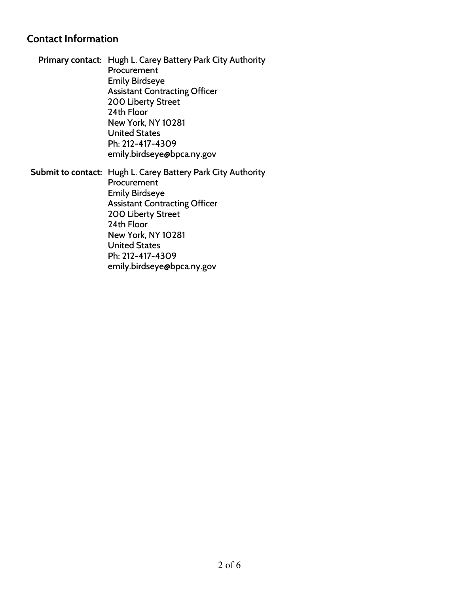#### **Contact Information**

**Primary contact:** Hugh L. Carey Battery Park City Authority Procurement Emily Birdseye Assistant Contracting Officer 200 Liberty Street 24th Floor New York, NY 10281 United States Ph: 212-417-4309 emily.birdseye@bpca.ny.gov

**Submit to contact:** Hugh L. Carey Battery Park City Authority Procurement Emily Birdseye Assistant Contracting Officer 200 Liberty Street 24th Floor New York, NY 10281 United States Ph: 212-417-4309 emily.birdseye@bpca.ny.gov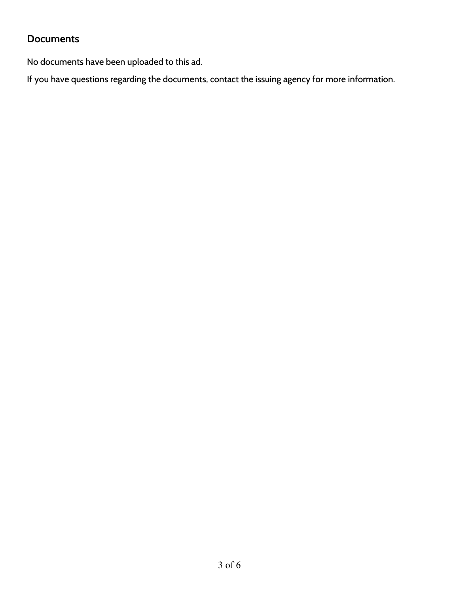### **Documents**

No documents have been uploaded to this ad.

If you have questions regarding the documents, contact the issuing agency for more information.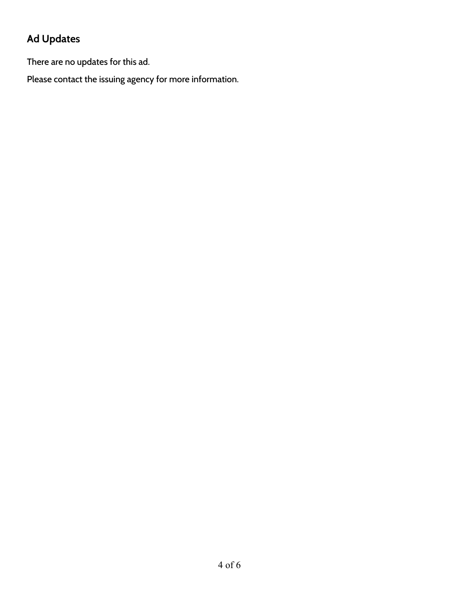# **Ad Updates**

There are no updates for this ad.

Please contact the issuing agency for more information.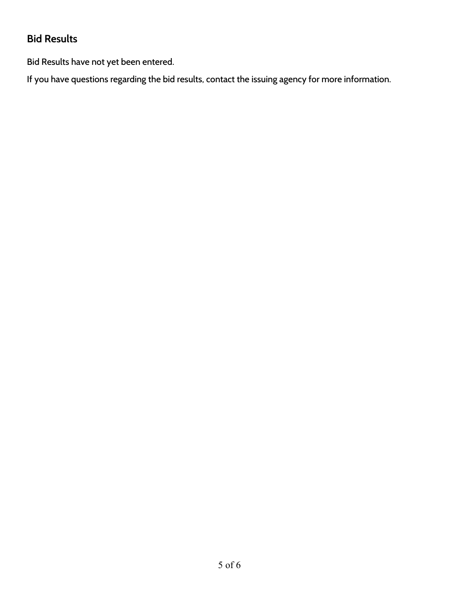### **Bid Results**

Bid Results have not yet been entered.

If you have questions regarding the bid results, contact the issuing agency for more information.